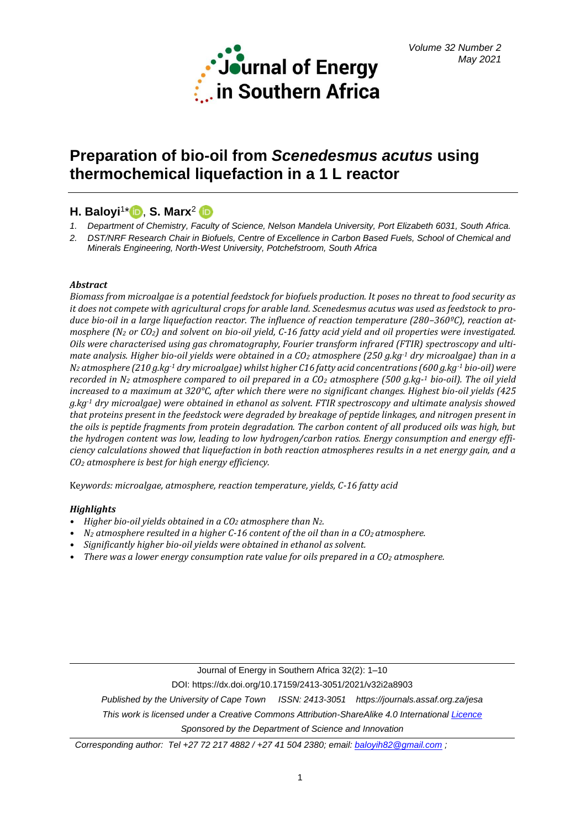

# **Preparation of bio-oil from** *Scenedesmus acutus* **using thermochemical liquefaction in a 1 L reactor**

# **H. Baloyi**<sup>1</sup> [\\*](https://orcid.org/0000-0003-1499-2242) , **S. Marx**<sup>2</sup>

- *1. Department of Chemistry, Faculty of Science, Nelson Mandela University, Port Elizabeth 6031, South Africa.*
- *2. DST/NRF Research Chair in Biofuels, Centre of Excellence in Carbon Based Fuels, School of Chemical and Minerals Engineering, North-West University, Potchefstroom, South Africa*

# *Abstract*

*Biomass from microalgae is a potential feedstock for biofuels production. It poses no threat to food security as it does not compete with agricultural crops for arable land. Scenedesmus acutus was used as feedstock to produce bio-oil in a large liquefaction reactor. The influence of reaction temperature (280–360ºC), reaction atmosphere (N<sup>2</sup> or CO2) and solvent on bio-oil yield, C-16 fatty acid yield and oil properties were investigated. Oils were characterised using gas chromatography, Fourier transform infrared (FTIR) spectroscopy and ultimate analysis. Higher bio-oil yields were obtained in a CO<sup>2</sup> atmosphere (250 g.kg-1 dry microalgae) than in a N<sup>2</sup> atmosphere (210 g.kg-1 dry microalgae) whilst higher C16 fatty acid concentrations (600 g.kg-1 bio-oil) were recorded in N<sup>2</sup> atmosphere compared to oil prepared in a CO<sup>2</sup> atmosphere (500 g.kg-<sup>1</sup> bio-oil). The oil yield increased to a maximum at 320°C, after which there were no significant changes. Highest bio-oil yields (425 g.kg-1 dry microalgae) were obtained in ethanol as solvent. FTIR spectroscopy and ultimate analysis showed that proteins present in the feedstock were degraded by breakage of peptide linkages, and nitrogen present in the oils is peptide fragments from protein degradation. The carbon content of all produced oils was high, but the hydrogen content was low, leading to low hydrogen/carbon ratios. Energy consumption and energy efficiency calculations showed that liquefaction in both reaction atmospheres results in a net energy gain, and a CO<sup>2</sup> atmosphere is best for high energy efficiency.*

Ke*ywords: microalgae, atmosphere, reaction temperature, yields, C-16 fatty acid*

# *Highlights*

- *• Higher bio-oil yields obtained in a CO<sup>2</sup> atmosphere than N2.*
- *• N<sup>2</sup> atmosphere resulted in a higher C-16 content of the oil than in a CO2 atmosphere.*
- *• Significantly higher bio-oil yields were obtained in ethanol as solvent.*
- *• There was a lower energy consumption rate value for oils prepared in a CO<sup>2</sup> atmosphere.*

Journal of Energy in Southern Africa 32(2): 1–10

DOI: https://dx.doi.org/10.17159/2413-3051/2021/v32i2a8903

*Published by the University of Cape Town ISSN: 2413-3051 https://journals.assaf.org.za/jesa*

*This work is licensed under a Creative Commons Attribution-ShareAlike 4.0 Internationa[l Licence](https://creativecommons.org/licenses/by-sa/4.0/)*

*Sponsored by the Department of Science and Innovation*

*Corresponding author: Tel +27 72 217 4882 / +27 41 504 2380; email[: baloyih82@gmail.com](mailto:baloyih82@gmail.com) ;*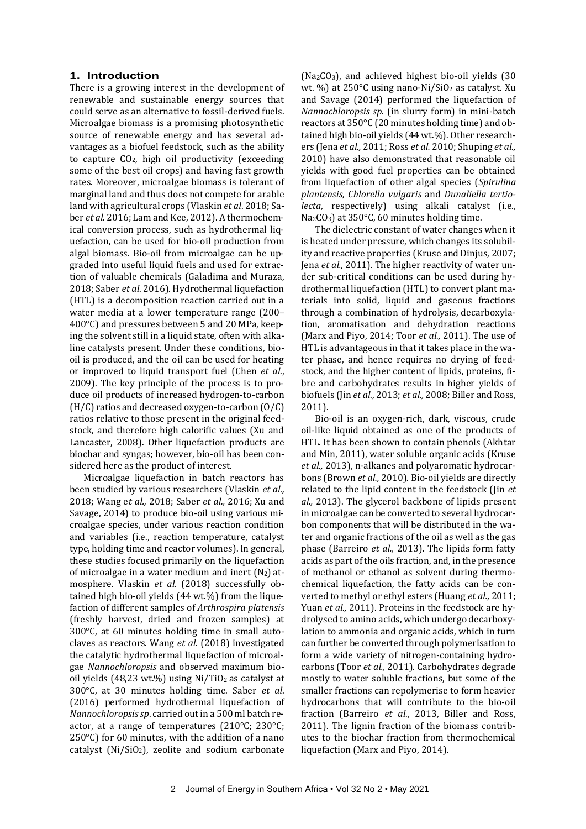#### **1. Introduction**

There is a growing interest in the development of renewable and sustainable energy sources that could serve as an alternative to fossil-derived fuels. Microalgae biomass is a promising photosynthetic source of renewable energy and has several advantages as a biofuel feedstock, such as the ability to capture CO2, high oil productivity (exceeding some of the best oil crops) and having fast growth rates. Moreover, microalgae biomass is tolerant of marginal land and thus does not compete for arable land with agricultural crops (Vlaskin *et al*. 2018; Saber *et al*. 2016; Lam and Kee, 2012). A thermochemical conversion process, such as hydrothermal liquefaction, can be used for bio-oil production from algal biomass. Bio-oil from microalgae can be upgraded into useful liquid fuels and used for extraction of valuable chemicals (Galadima and Muraza, 2018; Saber *et al*. 2016). Hydrothermal liquefaction (HTL) is a decomposition reaction carried out in a water media at a lower temperature range (200– 400°C) and pressures between 5 and 20 MPa, keeping the solvent still in a liquid state, often with alkaline catalysts present. Under these conditions, biooil is produced, and the oil can be used for heating or improved to liquid transport fuel (Chen *et al*., 2009). The key principle of the process is to produce oil products of increased hydrogen-to-carbon (H/C) ratios and decreased oxygen-to-carbon (O/C) ratios relative to those present in the original feedstock, and therefore high calorific values (Xu and Lancaster, 2008). Other liquefaction products are biochar and syngas; however, bio-oil has been considered here as the product of interest.

Microalgae liquefaction in batch reactors has been studied by various researchers (Vlaskin *et al.,*  2018; Wang e*t al.,* 2018; Saber *et al.,* 2016; Xu and Savage, 2014) to produce bio-oil using various microalgae species, under various reaction condition and variables (i.e., reaction temperature, catalyst type, holding time and reactor volumes). In general, these studies focused primarily on the liquefaction of microalgae in a water medium and inert  $(N_2)$  atmosphere. Vlaskin *et al.* (2018) successfully obtained high bio-oil yields (44 wt.%) from the liquefaction of different samples of *Arthrospira platensis* (freshly harvest, dried and frozen samples) at 300°C, at 60 minutes holding time in small autoclaves as reactors. Wang *et al.* (2018) investigated the catalytic hydrothermal liquefaction of microalgae *Nannochloropsis* and observed maximum biooil yields (48,23 wt.%) using  $Ni/TiO<sub>2</sub>$  as catalyst at 300°C, at 30 minutes holding time. Saber *et al*. (2016) performed hydrothermal liquefaction of *Nannochloropsis sp*. carried out in a 500 ml batch reactor, at a range of temperatures (210°C; 230°C; 250°C) for 60 minutes, with the addition of a nano catalyst (Ni/SiO2), zeolite and sodium carbonate

(Na2CO3), and achieved highest bio-oil yields (30 wt. %) at 250°C using nano-Ni/SiO<sub>2</sub> as catalyst. Xu and Savage (2014) performed the liquefaction of *Nannochloropsis sp*. (in slurry form) in mini-batch reactors at 350°C (20 minutes holding time) and obtained high bio-oil yields (44 wt.%). Other researchers (Jena *et al.,* 2011; Ross *et al.* 2010; Shuping *et al.,*  2010) have also demonstrated that reasonable oil yields with good fuel properties can be obtained from liquefaction of other algal species (*Spirulina plantensis, Chlorella vulgaris* and *Dunaliella tertiolecta*, respectively) using alkali catalyst (i.e., Na2CO3) at 350°C, 60 minutes holding time.

The dielectric constant of water changes when it is heated under pressure, which changes its solubility and reactive properties (Kruse and Dinjus, 2007; Jena *et al.,* 2011). The higher reactivity of water under sub-critical conditions can be used during hydrothermal liquefaction (HTL) to convert plant materials into solid, liquid and gaseous fractions through a combination of hydrolysis, decarboxylation, aromatisation and dehydration reactions (Marx and Piyo, 2014; Toor *et al.,* 2011). The use of HTL is advantageous in that it takes place in the water phase, and hence requires no drying of feedstock, and the higher content of lipids, proteins, fibre and carbohydrates results in higher yields of biofuels (Jin *et al*., 2013; *et al.,* 2008; Biller and Ross, 2011).

Bio-oil is an oxygen-rich, dark, viscous, crude oil-like liquid obtained as one of the products of HTL. It has been shown to contain phenols (Akhtar and Min, 2011), water soluble organic acids (Kruse *et al.,* 2013), n-alkanes and polyaromatic hydrocarbons (Brown *et al.,* 2010). Bio-oil yields are directly related to the lipid content in the feedstock (Jin *et al.,* 2013). The glycerol backbone of lipids present in microalgae can be converted to several hydrocarbon components that will be distributed in the water and organic fractions of the oil as well as the gas phase (Barreiro *et al.,* 2013). The lipids form fatty acids as part of the oils fraction, and, in the presence of methanol or ethanol as solvent during thermochemical liquefaction, the fatty acids can be converted to methyl or ethyl esters (Huang *et al.,* 2011; Yuan *et al.,* 2011). Proteins in the feedstock are hydrolysed to amino acids, which undergo decarboxylation to ammonia and organic acids, which in turn can further be converted through polymerisation to form a wide variety of nitrogen-containing hydrocarbons (Toor *et al.,* 2011). Carbohydrates degrade mostly to water soluble fractions, but some of the smaller fractions can repolymerise to form heavier hydrocarbons that will contribute to the bio-oil fraction (Barreiro *et al*., 2013, Biller and Ross, 2011). The lignin fraction of the biomass contributes to the biochar fraction from thermochemical liquefaction (Marx and Piyo, 2014).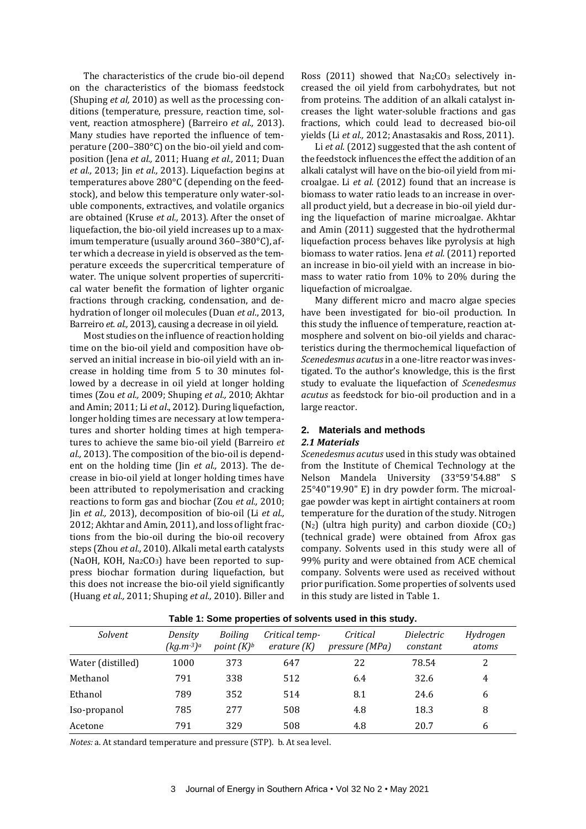The characteristics of the crude bio-oil depend on the characteristics of the biomass feedstock (Shuping *et al,* 2010) as well as the processing conditions (temperature, pressure, reaction time, solvent, reaction atmosphere) (Barreiro *et al.,* 2013). Many studies have reported the influence of temperature (200–380°C) on the bio-oil yield and composition (Jena *et al.,* 2011; Huang *et al.,* 2011; Duan *et al.,* 2013; Jin *et al.,* 2013). Liquefaction begins at temperatures above 280°C (depending on the feedstock), and below this temperature only water-soluble components, extractives, and volatile organics are obtained (Kruse *et al.,* 2013). After the onset of liquefaction, the bio-oil yield increases up to a maximum temperature (usually around 360–380°C), after which a decrease in yield is observed as the temperature exceeds the supercritical temperature of water. The unique solvent properties of supercritical water benefit the formation of lighter organic fractions through cracking, condensation, and dehydration of longer oil molecules (Duan *et al*., 2013, Barreiro *et. al.,* 2013), causing a decrease in oil yield.

Most studies on the influence of reaction holding time on the bio-oil yield and composition have observed an initial increase in bio-oil yield with an increase in holding time from 5 to 30 minutes followed by a decrease in oil yield at longer holding times (Zou *et al.,* 2009; Shuping *et al.,* 2010; Akhtar and Amin; 2011; Li *et al*., 2012). During liquefaction, longer holding times are necessary at low temperatures and shorter holding times at high temperatures to achieve the same bio-oil yield (Barreiro *et al.,* 2013). The composition of the bio-oil is dependent on the holding time (Jin *et al.,* 2013). The decrease in bio-oil yield at longer holding times have been attributed to repolymerisation and cracking reactions to form gas and biochar (Zou *et al.,* 2010; Jin *et al.,* 2013), decomposition of bio-oil (Li *et al.,* 2012; Akhtar and Amin, 2011), and loss of light fractions from the bio-oil during the bio-oil recovery steps (Zhou *et al.,* 2010). Alkali metal earth catalysts (NaOH, KOH, Na<sub>2</sub>CO<sub>3</sub>) have been reported to suppress biochar formation during liquefaction, but this does not increase the bio-oil yield significantly (Huang *et al.,* 2011; Shuping *et al.,* 2010). Biller and

Ross (2011) showed that  $Na<sub>2</sub>CO<sub>3</sub>$  selectively increased the oil yield from carbohydrates, but not from proteins. The addition of an alkali catalyst increases the light water-soluble fractions and gas fractions, which could lead to decreased bio-oil yields (Li *et al.,* 2012; Anastasakis and Ross, 2011).

Li *et al*. (2012) suggested that the ash content of the feedstock influences the effect the addition of an alkali catalyst will have on the bio-oil yield from microalgae. Li *et al.* (2012) found that an increase is biomass to water ratio leads to an increase in overall product yield, but a decrease in bio-oil yield during the liquefaction of marine microalgae. Akhtar and Amin (2011) suggested that the hydrothermal liquefaction process behaves like pyrolysis at high biomass to water ratios. Jena *et al.* (2011) reported an increase in bio-oil yield with an increase in biomass to water ratio from 10% to 20% during the liquefaction of microalgae.

Many different micro and macro algae species have been investigated for bio-oil production. In this study the influence of temperature, reaction atmosphere and solvent on bio-oil yields and characteristics during the thermochemical liquefaction of *Scenedesmus acutus*in a one-litre reactor was investigated. To the author's knowledge, this is the first study to evaluate the liquefaction of *Scenedesmus acutus* as feedstock for bio-oil production and in a large reactor.

# **2. Materials and methods**

### *2.1 Materials*

*Scenedesmus acutus* used in this study was obtained from the Institute of Chemical Technology at the Nelson Mandela University (33°59'54.88" S 25°40"19.90" E) in dry powder form. The microalgae powder was kept in airtight containers at room temperature for the duration of the study. Nitrogen  $(N_2)$  (ultra high purity) and carbon dioxide  $(CO_2)$ (technical grade) were obtained from Afrox gas company. Solvents used in this study were all of 99% purity and were obtained from ACE chemical company. Solvents were used as received without prior purification. Some properties of solvents used in this study are listed in Table 1.

| Dielectric<br><b>Boiling</b><br>Critical<br>Hydrogen<br>Critical temp-<br>Solvent<br>Density<br>$(kg.m^{-3})^a$<br>point $(K)^b$<br>erature $(K)$<br>pressure (MPa)<br>constant<br>atoms<br>78.54<br>2<br>1000<br>373<br>647<br>22<br>Water (distilled)<br>791<br>338<br>Methanol<br>512<br>32.6<br>4<br>6.4<br>789<br>352<br>Ethanol<br>514<br>24.6<br>6<br>8.1<br>785<br>508<br>277<br>18.3<br>8<br>4.8<br>Iso-propanol<br>791<br>329<br>508<br>20.7<br>4.8<br>6<br>Acetone |  |  |  |  |
|-------------------------------------------------------------------------------------------------------------------------------------------------------------------------------------------------------------------------------------------------------------------------------------------------------------------------------------------------------------------------------------------------------------------------------------------------------------------------------|--|--|--|--|
|                                                                                                                                                                                                                                                                                                                                                                                                                                                                               |  |  |  |  |
|                                                                                                                                                                                                                                                                                                                                                                                                                                                                               |  |  |  |  |
|                                                                                                                                                                                                                                                                                                                                                                                                                                                                               |  |  |  |  |
|                                                                                                                                                                                                                                                                                                                                                                                                                                                                               |  |  |  |  |
|                                                                                                                                                                                                                                                                                                                                                                                                                                                                               |  |  |  |  |
|                                                                                                                                                                                                                                                                                                                                                                                                                                                                               |  |  |  |  |

**Table 1: Some properties of solvents used in this study.**

*Notes:* a. At standard temperature and pressure (STP). b. At sea level.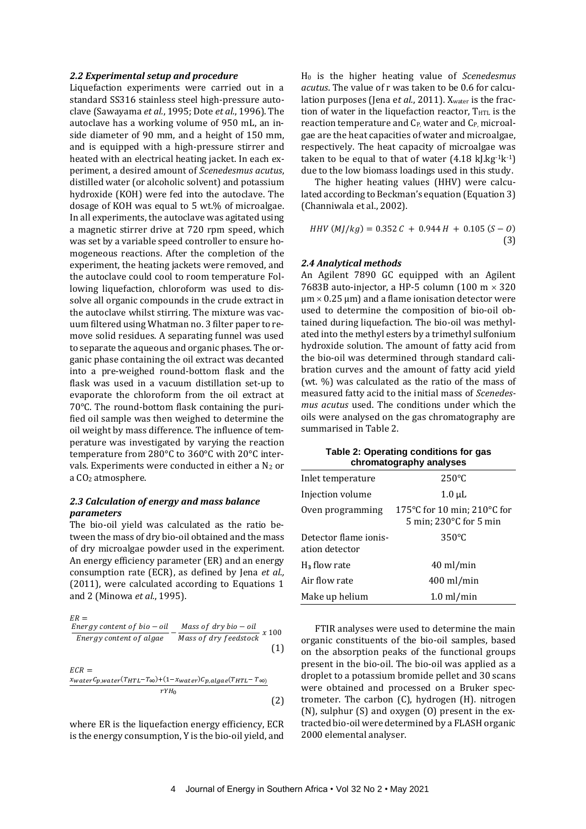#### *2.2 Experimental setup and procedure*

Liquefaction experiments were carried out in a standard SS316 stainless steel high-pressure autoclave (Sawayama *et al.*, 1995; Dote *et al.*, 1996). The autoclave has a working volume of 950 mL, an inside diameter of 90 mm, and a height of 150 mm, and is equipped with a high-pressure stirrer and heated with an electrical heating jacket. In each experiment, a desired amount of *Scenedesmus acutus*, distilled water (or alcoholic solvent) and potassium hydroxide (KOH) were fed into the autoclave. The dosage of KOH was equal to 5 wt.% of microalgae. In all experiments, the autoclave was agitated using a magnetic stirrer drive at 720 rpm speed, which was set by a variable speed controller to ensure homogeneous reactions. After the completion of the experiment, the heating jackets were removed, and the autoclave could cool to room temperature Following liquefaction, chloroform was used to dissolve all organic compounds in the crude extract in the autoclave whilst stirring. The mixture was vacuum filtered using Whatman no. 3 filter paper to remove solid residues. A separating funnel was used to separate the aqueous and organic phases. The organic phase containing the oil extract was decanted into a pre-weighed round-bottom flask and the flask was used in a vacuum distillation set-up to evaporate the chloroform from the oil extract at 70°C. The round-bottom flask containing the purified oil sample was then weighed to determine the oil weight by mass difference. The influence of temperature was investigated by varying the reaction temperature from 280°C to 360°C with 20°C intervals. Experiments were conducted in either a  $N_2$  or a CO<sup>2</sup> atmosphere.

# *2.3 Calculation of energy and mass balance parameters*

The bio-oil yield was calculated as the ratio between the mass of dry bio-oil obtained and the mass of dry microalgae powder used in the experiment. An energy efficiency parameter (ER) and an energy consumption rate (ECR), as defined by Jena *et al.,* (2011), were calculated according to Equations 1 and 2 (Minowa *et al.*, 1995).

$$
ER =
$$
\n
$$
\frac{Energy \text{ content of bio} - oil}{Energy \text{ content of algae}} - \frac{Mass \text{ of dry bio} - oil}{Mass \text{ of dry feedback}} \times 100
$$
\n
$$
ECR =
$$
\n
$$
\frac{x_{water}C_{p, water}(T_{HTL} - T_{\infty}) + (1 - x_{water})C_{p, algae}(T_{HTL} - T_{\infty})}{rYH_0}
$$
\n(1)

(2)

where ER is the liquefaction energy efficiency, ECR is the energy consumption, Y is the bio-oil yield, and H<sup>0</sup> is the higher heating value of *Scenedesmus acutus*. The value of r was taken to be 0.6 for calculation purposes (Jena et al., 2011). Xwater is the fraction of water in the liquefaction reactor, THTL is the reaction temperature and C<sub>P</sub>, water and C<sub>P</sub>, microalgae are the heat capacities of water and microalgae, respectively. The heat capacity of microalgae was taken to be equal to that of water  $(4.18 \text{ kJ} \cdot \text{kg}^{-1} \text{k}^{-1})$ due to the low biomass loadings used in this study.

The higher heating values (HHV) were calculated according to Beckman's equation (Equation 3) (Channiwala et al., 2002).

 $HHV(M]/kg$ ) = 0.352  $C + 0.944 H + 0.105 (S - 0)$ (3)

## *2.4 Analytical methods*

An Agilent 7890 GC equipped with an Agilent 7683B auto-injector, a HP-5 column (100 m  $\times$  320  $\mu$ m  $\times$  0.25  $\mu$ m) and a flame ionisation detector were used to determine the composition of bio-oil obtained during liquefaction. The bio-oil was methylated into the methyl esters by a trimethyl sulfonium hydroxide solution. The amount of fatty acid from the bio-oil was determined through standard calibration curves and the amount of fatty acid yield (wt. %) was calculated as the ratio of the mass of measured fatty acid to the initial mass of *Scenedesmus acutus* used. The conditions under which the oils were analysed on the gas chromatography are summarised in Table 2.

| Table 2: Operating conditions for gas |  |
|---------------------------------------|--|
| chromatography analyses               |  |

| Inlet temperature                       | $250^{\circ}$ C                                                                         |
|-----------------------------------------|-----------------------------------------------------------------------------------------|
| Injection volume                        | $1.0 \mu L$                                                                             |
| Oven programming                        | 175 $\degree$ C for 10 min; 210 $\degree$ C for<br>$5$ min; 230 $\degree$ C for $5$ min |
| Detector flame ionis-<br>ation detector | $350^{\circ}$ C                                                                         |
| H <sub>3</sub> flow rate                | $40 \text{ ml/min}$                                                                     |
| Air flow rate                           | $400$ ml/min                                                                            |
| Make up helium                          | $1.0 \text{ ml/min}$                                                                    |

FTIR analyses were used to determine the main organic constituents of the bio-oil samples, based on the absorption peaks of the functional groups present in the bio-oil. The bio-oil was applied as a droplet to a potassium bromide pellet and 30 scans were obtained and processed on a Bruker spectrometer. The carbon (C), hydrogen (H). nitrogen (N), sulphur (S) and oxygen (O) present in the extracted bio-oil were determined by a FLASH organic 2000 elemental analyser.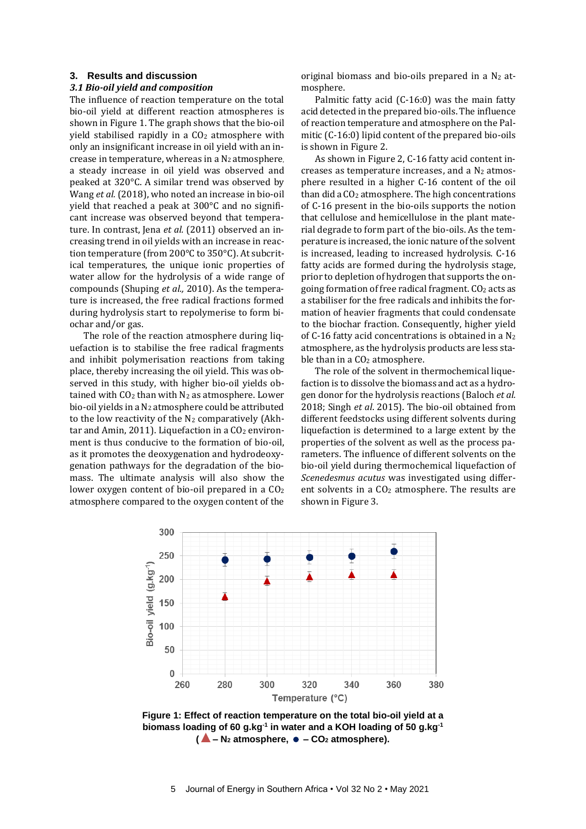#### **3. Results and discussion**

#### *3.1 Bio-oil yield and composition*

The influence of reaction temperature on the total bio-oil yield at different reaction atmospheres is shown in Figure 1. The graph shows that the bio-oil yield stabilised rapidly in a CO<sub>2</sub> atmosphere with only an insignificant increase in oil yield with an increase in temperature, whereas in a N<sup>2</sup> atmosphere, a steady increase in oil yield was observed and peaked at 320°C. A similar trend was observed by Wang *et al.* (2018), who noted an increase in bio-oil yield that reached a peak at 300°C and no significant increase was observed beyond that temperature. In contrast, Jena et al. (2011) observed an increasing trend in oil yields with an increase in reaction temperature (from 200°C to 350°C). At subcritical temperatures, the unique ionic properties of water allow for the hydrolysis of a wide range of compounds (Shuping *et al.,* 2010). As the temperature is increased, the free radical fractions formed during hydrolysis start to repolymerise to form biochar and/or gas.

The role of the reaction atmosphere during liquefaction is to stabilise the free radical fragments and inhibit polymerisation reactions from taking place, thereby increasing the oil yield. This was observed in this study, with higher bio-oil yields obtained with  $CO<sub>2</sub>$  than with  $N<sub>2</sub>$  as atmosphere. Lower bio-oil yields in a N<sup>2</sup> atmosphere could be attributed to the low reactivity of the  $N_2$  comparatively (Akhtar and Amin, 2011). Liquefaction in a  $CO<sub>2</sub>$  environment is thus conducive to the formation of bio-oil, as it promotes the deoxygenation and hydrodeoxygenation pathways for the degradation of the biomass. The ultimate analysis will also show the lower oxygen content of bio-oil prepared in a CO<sub>2</sub> atmosphere compared to the oxygen content of the

original biomass and bio-oils prepared in a  $N_2$  atmosphere.

Palmitic fatty acid (C-16:0) was the main fatty acid detected in the prepared bio-oils. The influence of reaction temperature and atmosphere on the Palmitic (C-16:0) lipid content of the prepared bio-oils is shown in Figure 2.

As shown in Figure 2, C-16 fatty acid content increases as temperature increases, and a  $N_2$  atmosphere resulted in a higher C-16 content of the oil than did aCO<sup>2</sup> atmosphere. The high concentrations of C-16 present in the bio-oils supports the notion that cellulose and hemicellulose in the plant material degrade to form part of the bio-oils. As the temperature is increased, the ionic nature of the solvent is increased, leading to increased hydrolysis. C-16 fatty acids are formed during the hydrolysis stage, prior to depletion of hydrogen that supports the ongoing formation of free radical fragment. CO<sup>2</sup> acts as a stabiliser for the free radicals and inhibits the formation of heavier fragments that could condensate to the biochar fraction. Consequently, higher yield of C-16 fatty acid concentrations is obtained in a  $N_2$ atmosphere, as the hydrolysis products are less stable than in a CO<sub>2</sub> atmosphere.

The role of the solvent in thermochemical liquefaction is to dissolve the biomass and act as a hydrogen donor for the hydrolysis reactions (Baloch *et al.*  2018; Singh *et al*. 2015). The bio-oil obtained from different feedstocks using different solvents during liquefaction is determined to a large extent by the properties of the solvent as well as the process parameters. The influence of different solvents on the bio-oil yield during thermochemical liquefaction of *Scenedesmus acutus* was investigated using different solvents in a CO<sub>2</sub> atmosphere. The results are shown in Figure 3.



**Figure 1: Effect of reaction temperature on the total bio-oil yield at a biomass loading of 60 g.kg -1 in water and a KOH loading of 50 g.kg-1 (▲– <sup>N</sup><sup>2</sup> atmosphere, – CO<sup>2</sup> atmosphere).**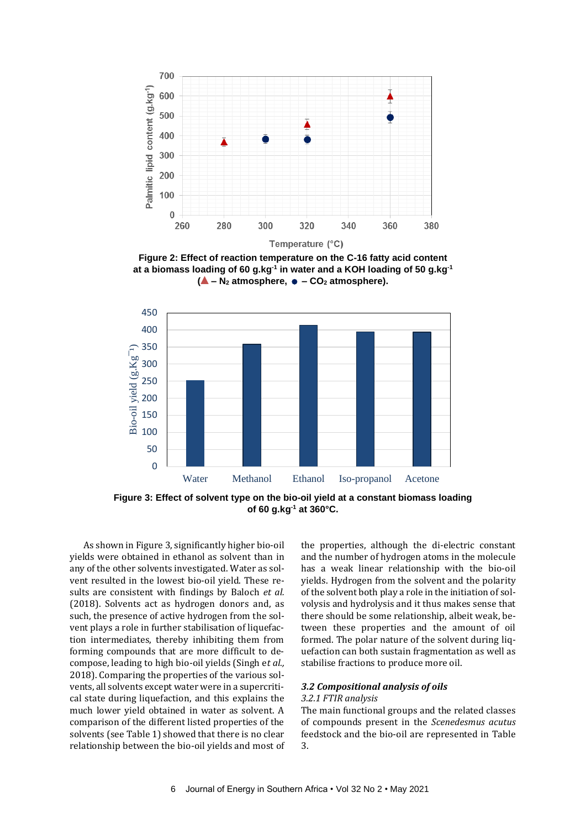

**Figure 2: Effect of reaction temperature on the C-16 fatty acid content at a biomass loading of 60 g.kg-1 in water and a KOH loading of 50 g.kg-1 (▲ – <sup>N</sup><sup>2</sup> atmosphere, – CO<sup>2</sup> atmosphere).**



**Figure 3: Effect of solvent type on the bio-oil yield at a constant biomass loading of 60 g.kg-1 at 360°C.**

As shown in Figure 3, significantly higher bio-oil yields were obtained in ethanol as solvent than in any of the other solvents investigated. Water as solvent resulted in the lowest bio-oil yield. These results are consistent with findings by Baloch *et al.* (2018). Solvents act as hydrogen donors and, as such, the presence of active hydrogen from the solvent plays a role in further stabilisation of liquefaction intermediates, thereby inhibiting them from forming compounds that are more difficult to decompose, leading to high bio-oil yields (Singh e*t al.,*  2018). Comparing the properties of the various solvents, all solvents except water were in a supercritical state during liquefaction, and this explains the much lower yield obtained in water as solvent. A comparison of the different listed properties of the solvents (see Table 1) showed that there is no clear relationship between the bio-oil yields and most of the properties, although the di-electric constant and the number of hydrogen atoms in the molecule has a weak linear relationship with the bio-oil yields. Hydrogen from the solvent and the polarity of the solvent both play a role in the initiation of solvolysis and hydrolysis and it thus makes sense that there should be some relationship, albeit weak, between these properties and the amount of oil formed. The polar nature of the solvent during liquefaction can both sustain fragmentation as well as stabilise fractions to produce more oil.

#### *3.2 Compositional analysis of oils*

#### *3.2.1 FTIR analysis*

The main functional groups and the related classes of compounds present in the *Scenedesmus acutus*  feedstock and the bio-oil are represented in Table 3.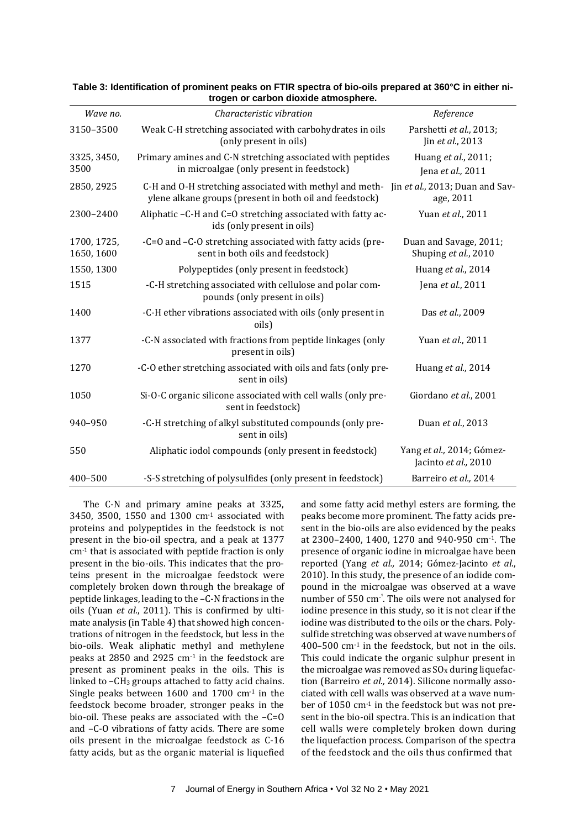|                           | u ogen or carbon gioxiue aunosphere.                                                                                                               |                                                   |
|---------------------------|----------------------------------------------------------------------------------------------------------------------------------------------------|---------------------------------------------------|
| Wave no.                  | Characteristic vibration                                                                                                                           | Reference                                         |
| 3150-3500                 | Weak C-H stretching associated with carbohydrates in oils<br>(only present in oils)                                                                | Parshetti et al., 2013;<br>Jin et al., 2013       |
| 3325, 3450,<br>3500       | Primary amines and C-N stretching associated with peptides<br>in microalgae (only present in feedstock)                                            | Huang et al., 2011;<br>Jena et al., 2011          |
| 2850, 2925                | C-H and O-H stretching associated with methyl and meth- Jin et al., 2013; Duan and Sav-<br>ylene alkane groups (present in both oil and feedstock) | age, 2011                                         |
| 2300-2400                 | Aliphatic -C-H and C=O stretching associated with fatty ac-<br>ids (only present in oils)                                                          | Yuan et al., 2011                                 |
| 1700, 1725,<br>1650, 1600 | -C=O and -C-O stretching associated with fatty acids (pre-<br>sent in both oils and feedstock)                                                     | Duan and Savage, 2011;<br>Shuping et al., 2010    |
| 1550, 1300                | Polypeptides (only present in feedstock)                                                                                                           | Huang et al., 2014                                |
| 1515                      | -C-H stretching associated with cellulose and polar com-<br>pounds (only present in oils)                                                          | Jena et al., 2011                                 |
| 1400                      | -C-H ether vibrations associated with oils (only present in<br>oils)                                                                               | Das et al., 2009                                  |
| 1377                      | -C-N associated with fractions from peptide linkages (only<br>present in oils)                                                                     | Yuan et al., 2011                                 |
| 1270                      | -C-O ether stretching associated with oils and fats (only pre-<br>sent in oils)                                                                    | Huang et al., 2014                                |
| 1050                      | Si-O-C organic silicone associated with cell walls (only pre-<br>sent in feedstock)                                                                | Giordano et al., 2001                             |
| 940-950                   | -C-H stretching of alkyl substituted compounds (only pre-<br>sent in oils)                                                                         | Duan et al., 2013                                 |
| 550                       | Aliphatic iodol compounds (only present in feedstock)                                                                                              | Yang et al., 2014; Gómez-<br>Jacinto et al., 2010 |
| 400-500                   | -S-S stretching of polysulfides (only present in feedstock)                                                                                        | Barreiro et al., 2014                             |

#### **Table 3: Identification of prominent peaks on FTIR spectra of bio-oils prepared at 360°C in either nitrogen or carbon dioxide atmosphere.**

The C-N and primary amine peaks at 3325, 3450, 3500, 1550 and 1300  $cm<sup>-1</sup>$  associated with proteins and polypeptides in the feedstock is not present in the bio-oil spectra, and a peak at 1377 cm-1 that is associated with peptide fraction is only present in the bio-oils. This indicates that the proteins present in the microalgae feedstock were completely broken down through the breakage of peptide linkages, leading to the –C-N fractions in the oils (Yuan *et al.*, 2011). This is confirmed by ultimate analysis (in Table 4) that showed high concentrations of nitrogen in the feedstock, but less in the bio-oils. Weak aliphatic methyl and methylene peaks at 2850 and 2925 cm-1 in the feedstock are present as prominent peaks in the oils. This is linked to -CH<sub>3</sub> groups attached to fatty acid chains. Single peaks between 1600 and 1700 cm<sup>-1</sup> in the feedstock become broader, stronger peaks in the bio-oil. These peaks are associated with the –C=O and –C-O vibrations of fatty acids. There are some oils present in the microalgae feedstock as C-16 fatty acids, but as the organic material is liquefied and some fatty acid methyl esters are forming, the peaks become more prominent. The fatty acids present in the bio-oils are also evidenced by the peaks at 2300–2400, 1400, 1270 and 940-950 cm-1. The presence of organic iodine in microalgae have been reported (Yang *et al.,* 2014; Gómez-Jacinto *et al*., 2010). In this study, the presence of an iodide compound in the microalgae was observed at a wave number of 550 cm<sup>-1</sup>. The oils were not analysed for iodine presence in this study, so it is not clear if the iodine was distributed to the oils or the chars. Polysulfide stretching was observed at wave numbers of 400–500 cm-1 in the feedstock, but not in the oils. This could indicate the organic sulphur present in the microalgae was removed as  $S0<sub>x</sub>$  during liquefaction (Barreiro *et al.,* 2014). Silicone normally associated with cell walls was observed at a wave number of 1050 cm-1 in the feedstock but was not present in the bio-oil spectra. This is an indication that cell walls were completely broken down during the liquefaction process. Comparison of the spectra of the feedstock and the oils thus confirmed that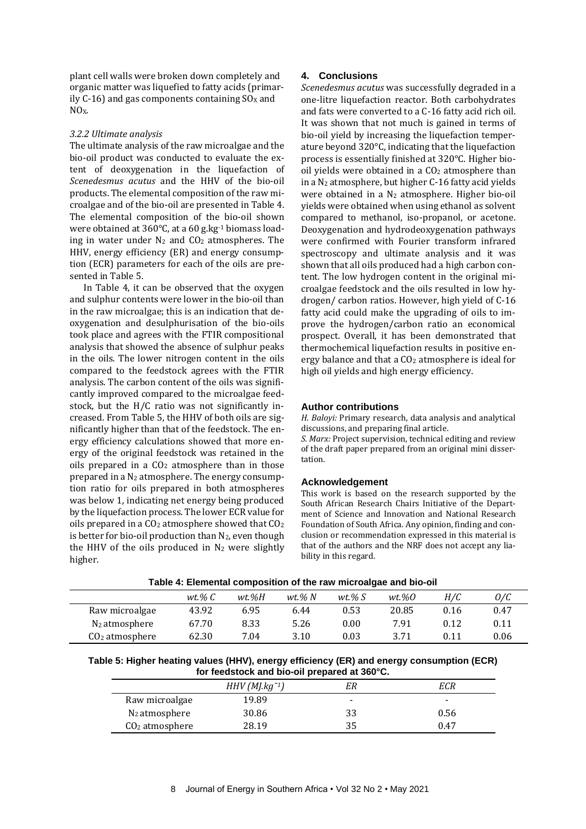plant cell walls were broken down completely and organic matter was liquefied to fatty acids (primarily  $C-16$ ) and gas components containing  $SO<sub>X</sub>$  and  $NO<sub>X</sub>$ .

#### *3.2.2 Ultimate analysis*

The ultimate analysis of the raw microalgae and the bio-oil product was conducted to evaluate the extent of deoxygenation in the liquefaction of *Scenedesmus acutus* and the HHV of the bio-oil products. The elemental composition of the raw microalgae and of the bio-oil are presented in Table 4. The elemental composition of the bio-oil shown were obtained at 360°C, at a 60 g.kg-1 biomass loading in water under  $N_2$  and  $CO_2$  atmospheres. The HHV, energy efficiency (ER) and energy consumption (ECR) parameters for each of the oils are presented in Table 5.

In Table 4, it can be observed that the oxygen and sulphur contents were lower in the bio-oil than in the raw microalgae; this is an indication that deoxygenation and desulphurisation of the bio-oils took place and agrees with the FTIR compositional analysis that showed the absence of sulphur peaks in the oils. The lower nitrogen content in the oils compared to the feedstock agrees with the FTIR analysis. The carbon content of the oils was significantly improved compared to the microalgae feedstock, but the H/C ratio was not significantly increased. From Table 5, the HHV of both oils are significantly higher than that of the feedstock. The energy efficiency calculations showed that more energy of the original feedstock was retained in the oils prepared in a  $CO<sub>2</sub>$  atmosphere than in those prepared in a  $N_2$  atmosphere. The energy consumption ratio for oils prepared in both atmospheres was below 1, indicating net energy being produced by the liquefaction process. The lower ECR value for oils prepared in a  $CO<sub>2</sub>$  atmosphere showed that  $CO<sub>2</sub>$ is better for bio-oil production than  $N_2$ , even though the HHV of the oils produced in  $N_2$  were slightly higher.

# **4. Conclusions**

*Scenedesmus acutus* was successfully degraded in a one-litre liquefaction reactor. Both carbohydrates and fats were converted to a C-16 fatty acid rich oil. It was shown that not much is gained in terms of bio-oil yield by increasing the liquefaction temperature beyond 320°C, indicating that the liquefaction process is essentially finished at 320°C. Higher biooil yields were obtained in a  $CO<sub>2</sub>$  atmosphere than in a N<sup>2</sup> atmosphere, but higher C-16 fatty acid yields were obtained in a N<sup>2</sup> atmosphere. Higher bio-oil yields were obtained when using ethanol as solvent compared to methanol, iso-propanol, or acetone. Deoxygenation and hydrodeoxygenation pathways were confirmed with Fourier transform infrared spectroscopy and ultimate analysis and it was shown that all oils produced had a high carbon content. The low hydrogen content in the original microalgae feedstock and the oils resulted in low hydrogen/ carbon ratios. However, high yield of C-16 fatty acid could make the upgrading of oils to improve the hydrogen/carbon ratio an economical prospect. Overall, it has been demonstrated that thermochemical liquefaction results in positive energy balance and that a CO<sup>2</sup> atmosphere is ideal for high oil yields and high energy efficiency.

## **Author contributions**

*H. Baloyi:* Primary research, data analysis and analytical discussions, and preparing final article.

*S. Marx:* Project supervision, technical editing and review of the draft paper prepared from an original mini dissertation.

#### **Acknowledgement**

This work is based on the research supported by the South African Research Chairs Initiative of the Department of Science and Innovation and National Research Foundation of South Africa. Any opinion, finding and conclusion or recommendation expressed in this material is that of the authors and the NRF does not accept any liability in this regard.

| Table 4: Elemental composition of the raw microalgae and bio-oil |
|------------------------------------------------------------------|
|------------------------------------------------------------------|

|                  |          |       |             | . .         |       |      |      |
|------------------|----------|-------|-------------|-------------|-------|------|------|
|                  | wt.% $C$ | wt.%H | $wt$ .% $N$ | $wt$ .% $S$ | wt.%0 | H/C  | 0/C  |
| Raw microalgae   | 43.92    | 6.95  | 6.44        | 0.53        | 20.85 | 0.16 | 0.47 |
| $N_2$ atmosphere | 67.70    | 8.33  | 5.26        | $0.00\,$    | 7.91  | 0.12 | 0.11 |
| $CO2$ atmosphere | 62.30    | 7.04  | 3.10        | 0.03        | 3.71  | 0.11 | 0.06 |

**Table 5: Higher heating values (HHV), energy efficiency (ER) and energy consumption (ECR) for feedstock and bio-oil prepared at 360°C.**

|                  | $HHV$ (MJ.kg <sup>-1</sup> ) |   | ECR  |  |  |  |
|------------------|------------------------------|---|------|--|--|--|
| Raw microalgae   | 19.89                        | - | -    |  |  |  |
| $N_2$ atmosphere | 30.86                        |   | 0.56 |  |  |  |
| $CO2$ atmosphere | 28.19                        |   | 0.47 |  |  |  |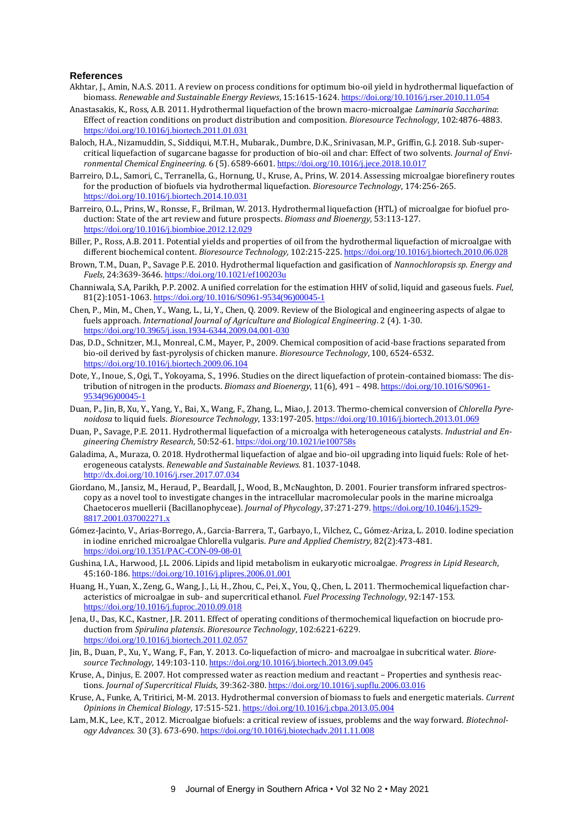#### **References**

- Akhtar, J., Amin, N.A.S. 2011. A review on process conditions for optimum bio-oil yield in hydrothermal liquefaction of biomass. *Renewable and Sustainable Energy Reviews*, 15:1615-1624. <https://doi.org/10.1016/j.rser.2010.11.054>
- Anastasakis, K., Ross, A.B. 2011. Hydrothermal liquefaction of the brown macro-microalgae *Laminaria Saccharina*: Effect of reaction conditions on product distribution and composition. *Bioresource Technology*, 102:4876-4883. <https://doi.org/10.1016/j.biortech.2011.01.031>
- Baloch, H.A., Nizamuddin, S., Siddiqui, M.T.H., Mubarak., Dumbre, D.K., Srinivasan, M.P., Griffin, G.J. 2018. Sub-supercritical liquefaction of sugarcane bagasse for production of bio-oil and char: Effect of two solvents. *Journal of Environmental Chemical Engineering.* 6 (5). 6589-6601. <https://doi.org/10.1016/j.jece.2018.10.017>
- Barreiro, D.L., Samori, C., Terranella, G., Hornung, U., Kruse, A., Prins, W. 2014. Assessing microalgae biorefinery routes for the production of biofuels via hydrothermal liquefaction. *Bioresource Technology*, 174:256-265. <https://doi.org/10.1016/j.biortech.2014.10.031>
- Barreiro, O.L., Prins, W., Ronsse, F., Brilman, W. 2013. Hydrothermal liquefaction (HTL) of microalgae for biofuel production: State of the art review and future prospects. *Biomass and Bioenergy*, 53:113-127. <https://doi.org/10.1016/j.biombioe.2012.12.029>
- Biller, P., Ross, A.B. 2011. Potential yields and properties of oil from the hydrothermal liquefaction of microalgae with different biochemical content. *Bioresource Technology,* 102:215-225. <https://doi.org/10.1016/j.biortech.2010.06.028>
- Brown, T.M., Duan, P., Savage P.E. 2010. Hydrothermal liquefaction and gasification of *Nannochloropsis sp*. *Energy and Fuels*, 24:3639-3646. <https://doi.org/10.1021/ef100203u>
- Channiwala, S.A, Parikh, P.P. 2002. A unified correlation for the estimation HHV of solid, liquid and gaseous fuels. *Fuel*, 81(2):1051-1063. [https://doi.org/10.1016/S0961-9534\(96\)00045-1](https://doi.org/10.1016/S0961-9534(96)00045-1)
- Chen, P., Min, M., Chen, Y., Wang, L., Li, Y., Chen, Q. 2009. Review of the Biological and engineering aspects of algae to fuels approach. *International Journal of Agriculture and Biological Engineering*. 2 (4). 1-30. <https://doi.org/10.3965/j.issn.1934-6344.2009.04.001-030>
- Das, D.D., Schnitzer, M.I., Monreal, C.M., Mayer, P., 2009. Chemical composition of acid-base fractions separated from bio-oil derived by fast-pyrolysis of chicken manure. *Bioresource Technology*, 100, 6524-6532. <https://doi.org/10.1016/j.biortech.2009.06.104>
- Dote, Y., Inoue, S., Ogi, T., Yokoyama, S., 1996. Studies on the direct liquefaction of protein-contained biomass: The distribution of nitrogen in the products. *Biomass and Bioenergy*, 11(6), 491 – 498. [https://doi.org/10.1016/S0961-](https://doi.org/10.1016/S0961-9534(96)00045-1) [9534\(96\)00045-1](https://doi.org/10.1016/S0961-9534(96)00045-1)
- Duan, P., Jin, B, Xu, Y., Yang, Y., Bai, X., Wang, F., Zhang, L., Miao, J. 2013. Thermo-chemical conversion of *Chlorella Pyrenoidosa* to liquid fuels. *Bioresource Technology*, 133:197-205. <https://doi.org/10.1016/j.biortech.2013.01.069>
- Duan, P., Savage, P.E. 2011. Hydrothermal liquefaction of a microalga with heterogeneous catalysts*. Industrial and Engineering Chemistry Research*, 50:52-61. <https://doi.org/10.1021/ie100758s>
- Galadima, A., Muraza, O. 2018. Hydrothermal liquefaction of algae and bio-oil upgrading into liquid fuels: Role of heterogeneous catalysts. *Renewable and Sustainable Reviews.* 81. 1037-1048. <http://dx.doi.org/10.1016/j.rser.2017.07.034>
- Giordano, M., Jansiz, M., Heraud, P., Beardall, J., Wood, B., McNaughton, D. 2001. Fourier transform infrared spectroscopy as a novel tool to investigate changes in the intracellular macromolecular pools in the marine microalga Chaetoceros muellerii (Bacillanophyceae). *Journal of Phycology*, 37:271-279. [https://doi.org/10.1046/j.1529-](https://doi.org/10.1046/j.1529-8817.2001.037002271.x) [8817.2001.037002271.x](https://doi.org/10.1046/j.1529-8817.2001.037002271.x)
- Gómez-Jacinto, V., Arias-Borrego, A., Garcia-Barrera, T., Garbayo, I., Vilchez, C., Gómez-Ariza, L. 2010. Iodine speciation in iodine enriched microalgae Chlorella vulgaris. *Pure and Applied Chemistry*, 82(2):473-481. <https://doi.org/10.1351/PAC-CON-09-08-01>
- Gushina, I.A., Harwood, J.L. 2006. Lipids and lipid metabolism in eukaryotic microalgae. *Progress in Lipid Research*, 45:160-186. <https://doi.org/10.1016/j.plipres.2006.01.001>
- Huang, H., Yuan, X., Zeng, G., Wang, J., Li, H., Zhou, C., Pei, X., You, Q., Chen, L. 2011. Thermochemical liquefaction characteristics of microalgae in sub- and supercritical ethanol. *Fuel Processing Technology*, 92:147-153. <https://doi.org/10.1016/j.fuproc.2010.09.018>
- Jena, U., Das, K.C., Kastner, J.R. 2011. Effect of operating conditions of thermochemical liquefaction on biocrude production from *Spirulina platensis*. *Bioresource Technology*, 102:6221-6229. <https://doi.org/10.1016/j.biortech.2011.02.057>
- Jin, B., Duan, P., Xu, Y., Wang, F., Fan, Y. 2013. Co-liquefaction of micro- and macroalgae in subcritical water. *Bioresource Technology*, 149:103-110. <https://doi.org/10.1016/j.biortech.2013.09.045>
- Kruse, A., Dinjus, E. 2007. Hot compressed water as reaction medium and reactant Properties and synthesis reactions. *Journal of Supercritical Fluids*, 39:362-380. <https://doi.org/10.1016/j.supflu.2006.03.016>
- Kruse, A., Funke, A, Tritirici, M-M. 2013. Hydrothermal conversion of biomass to fuels and energetic materials. *Current Opinions in Chemical Biology*, 17:515-521. <https://doi.org/10.1016/j.cbpa.2013.05.004>
- Lam, M.K., Lee, K.T., 2012. Microalgae biofuels: a critical review of issues, problems and the way forward. *Biotechnology Advances.* 30 (3). 673-690. <https://doi.org/10.1016/j.biotechadv.2011.11.008>